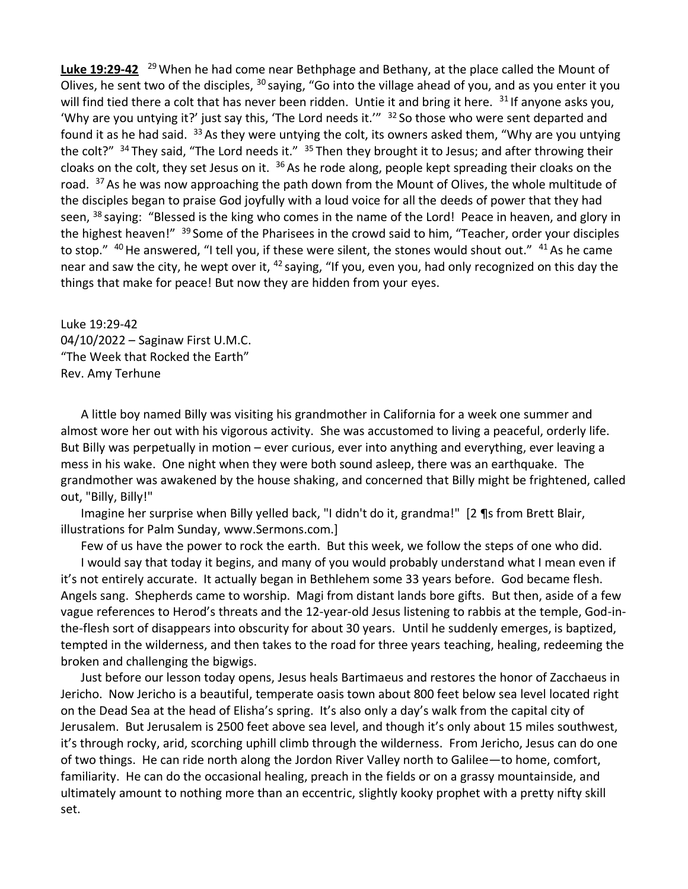Luke 19:29-42 <sup>29</sup> When he had come near Bethphage and Bethany, at the place called the Mount of Olives, he sent two of the disciples, <sup>30</sup> saying, "Go into the village ahead of you, and as you enter it you will find tied there a colt that has never been ridden. Untie it and bring it here.  $31$  If anyone asks you, 'Why are you untying it?' just say this, 'The Lord needs it.'" <sup>32</sup> So those who were sent departed and found it as he had said.  $33$  As they were untying the colt, its owners asked them, "Why are you untying the colt?"  $34$  They said, "The Lord needs it."  $35$  Then they brought it to Jesus; and after throwing their cloaks on the colt, they set Jesus on it.  $36$  As he rode along, people kept spreading their cloaks on the road. <sup>37</sup> As he was now approaching the path down from the Mount of Olives, the whole multitude of the disciples began to praise God joyfully with a loud voice for all the deeds of power that they had seen, <sup>38</sup> saying: "Blessed is the king who comes in the name of the Lord! Peace in heaven, and glory in the highest heaven!" <sup>39</sup> Some of the Pharisees in the crowd said to him, "Teacher, order your disciples to stop." <sup>40</sup>He answered, "I tell you, if these were silent, the stones would shout out." <sup>41</sup>As he came near and saw the city, he wept over it, <sup>42</sup> saying, "If you, even you, had only recognized on this day the things that make for peace! But now they are hidden from your eyes.

Luke 19:29-42 04/10/2022 – Saginaw First U.M.C. "The Week that Rocked the Earth" Rev. Amy Terhune

A little boy named Billy was visiting his grandmother in California for a week one summer and almost wore her out with his vigorous activity. She was accustomed to living a peaceful, orderly life. But Billy was perpetually in motion – ever curious, ever into anything and everything, ever leaving a mess in his wake. One night when they were both sound asleep, there was an earthquake. The grandmother was awakened by the house shaking, and concerned that Billy might be frightened, called out, "Billy, Billy!"

Imagine her surprise when Billy yelled back, "I didn't do it, grandma!" [2 ¶s from Brett Blair, illustrations for Palm Sunday, www.Sermons.com.]

Few of us have the power to rock the earth. But this week, we follow the steps of one who did.

I would say that today it begins, and many of you would probably understand what I mean even if it's not entirely accurate. It actually began in Bethlehem some 33 years before. God became flesh. Angels sang. Shepherds came to worship. Magi from distant lands bore gifts. But then, aside of a few vague references to Herod's threats and the 12-year-old Jesus listening to rabbis at the temple, God-inthe-flesh sort of disappears into obscurity for about 30 years. Until he suddenly emerges, is baptized, tempted in the wilderness, and then takes to the road for three years teaching, healing, redeeming the broken and challenging the bigwigs.

Just before our lesson today opens, Jesus heals Bartimaeus and restores the honor of Zacchaeus in Jericho. Now Jericho is a beautiful, temperate oasis town about 800 feet below sea level located right on the Dead Sea at the head of Elisha's spring. It's also only a day's walk from the capital city of Jerusalem. But Jerusalem is 2500 feet above sea level, and though it's only about 15 miles southwest, it's through rocky, arid, scorching uphill climb through the wilderness. From Jericho, Jesus can do one of two things. He can ride north along the Jordon River Valley north to Galilee—to home, comfort, familiarity. He can do the occasional healing, preach in the fields or on a grassy mountainside, and ultimately amount to nothing more than an eccentric, slightly kooky prophet with a pretty nifty skill set.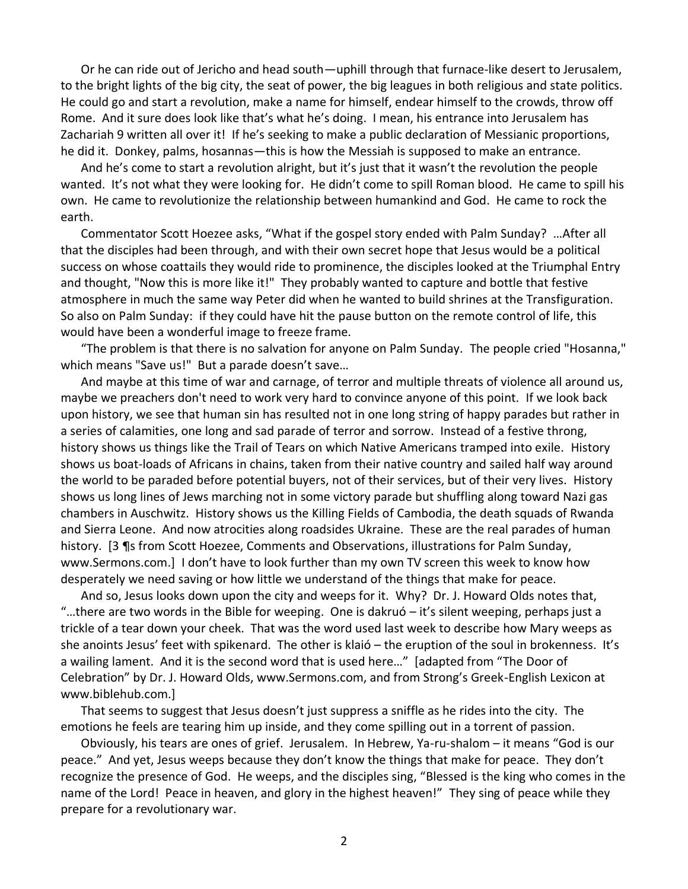Or he can ride out of Jericho and head south—uphill through that furnace-like desert to Jerusalem, to the bright lights of the big city, the seat of power, the big leagues in both religious and state politics. He could go and start a revolution, make a name for himself, endear himself to the crowds, throw off Rome. And it sure does look like that's what he's doing. I mean, his entrance into Jerusalem has Zachariah 9 written all over it! If he's seeking to make a public declaration of Messianic proportions, he did it. Donkey, palms, hosannas—this is how the Messiah is supposed to make an entrance.

And he's come to start a revolution alright, but it's just that it wasn't the revolution the people wanted. It's not what they were looking for. He didn't come to spill Roman blood. He came to spill his own. He came to revolutionize the relationship between humankind and God. He came to rock the earth.

Commentator Scott Hoezee asks, "What if the gospel story ended with Palm Sunday? …After all that the disciples had been through, and with their own secret hope that Jesus would be a political success on whose coattails they would ride to prominence, the disciples looked at the Triumphal Entry and thought, "Now this is more like it!" They probably wanted to capture and bottle that festive atmosphere in much the same way Peter did when he wanted to build shrines at the Transfiguration. So also on Palm Sunday: if they could have hit the pause button on the remote control of life, this would have been a wonderful image to freeze frame.

"The problem is that there is no salvation for anyone on Palm Sunday. The people cried "Hosanna," which means "Save us!" But a parade doesn't save…

And maybe at this time of war and carnage, of terror and multiple threats of violence all around us, maybe we preachers don't need to work very hard to convince anyone of this point. If we look back upon history, we see that human sin has resulted not in one long string of happy parades but rather in a series of calamities, one long and sad parade of terror and sorrow. Instead of a festive throng, history shows us things like the Trail of Tears on which Native Americans tramped into exile. History shows us boat-loads of Africans in chains, taken from their native country and sailed half way around the world to be paraded before potential buyers, not of their services, but of their very lives. History shows us long lines of Jews marching not in some victory parade but shuffling along toward Nazi gas chambers in Auschwitz. History shows us the Killing Fields of Cambodia, the death squads of Rwanda and Sierra Leone. And now atrocities along roadsides Ukraine. These are the real parades of human history. [3 ¶s from Scott Hoezee, Comments and Observations, illustrations for Palm Sunday, www.Sermons.com.] I don't have to look further than my own TV screen this week to know how desperately we need saving or how little we understand of the things that make for peace.

And so, Jesus looks down upon the city and weeps for it. Why? Dr. J. Howard Olds notes that, "…there are two words in the Bible for weeping. One is dakruó – it's silent weeping, perhaps just a trickle of a tear down your cheek. That was the word used last week to describe how Mary weeps as she anoints Jesus' feet with spikenard. The other is klaió – the eruption of the soul in brokenness. It's a wailing lament. And it is the second word that is used here…" [adapted from "The Door of Celebration" by Dr. J. Howard Olds, www.Sermons.com, and from Strong's Greek-English Lexicon at www.biblehub.com.]

That seems to suggest that Jesus doesn't just suppress a sniffle as he rides into the city. The emotions he feels are tearing him up inside, and they come spilling out in a torrent of passion.

Obviously, his tears are ones of grief. Jerusalem. In Hebrew, Ya-ru-shalom – it means "God is our peace." And yet, Jesus weeps because they don't know the things that make for peace. They don't recognize the presence of God. He weeps, and the disciples sing, "Blessed is the king who comes in the name of the Lord! Peace in heaven, and glory in the highest heaven!" They sing of peace while they prepare for a revolutionary war.